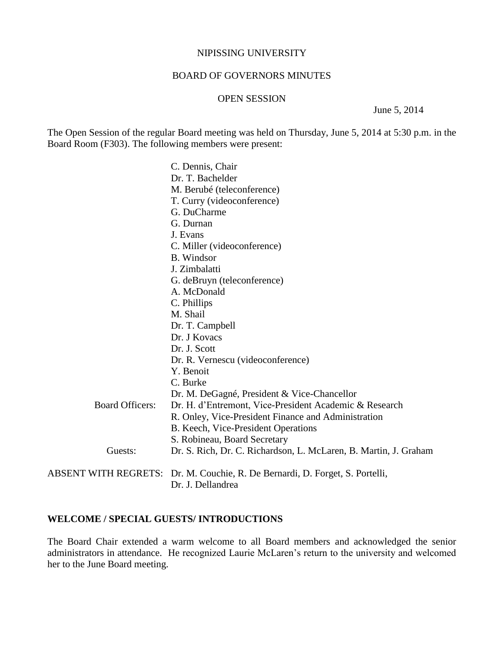#### NIPISSING UNIVERSITY

### BOARD OF GOVERNORS MINUTES

#### OPEN SESSION

June 5, 2014

The Open Session of the regular Board meeting was held on Thursday, June 5, 2014 at 5:30 p.m. in the Board Room (F303). The following members were present:

|                        | C. Dennis, Chair                                                             |
|------------------------|------------------------------------------------------------------------------|
|                        | Dr. T. Bachelder                                                             |
|                        | M. Berubé (teleconference)                                                   |
|                        | T. Curry (videoconference)                                                   |
|                        | G. DuCharme                                                                  |
|                        | G. Durnan                                                                    |
|                        | J. Evans                                                                     |
|                        | C. Miller (videoconference)                                                  |
|                        | B. Windsor                                                                   |
|                        | J. Zimbalatti                                                                |
|                        | G. deBruyn (teleconference)                                                  |
|                        | A. McDonald                                                                  |
|                        | C. Phillips                                                                  |
|                        | M. Shail                                                                     |
|                        | Dr. T. Campbell                                                              |
|                        | Dr. J Kovacs                                                                 |
|                        | Dr. J. Scott                                                                 |
|                        | Dr. R. Vernescu (videoconference)                                            |
|                        | Y. Benoit                                                                    |
|                        | C. Burke                                                                     |
|                        | Dr. M. DeGagné, President & Vice-Chancellor                                  |
| <b>Board Officers:</b> | Dr. H. d'Entremont, Vice-President Academic & Research                       |
|                        | R. Onley, Vice-President Finance and Administration                          |
|                        | B. Keech, Vice-President Operations                                          |
|                        | S. Robineau, Board Secretary                                                 |
| Guests:                | Dr. S. Rich, Dr. C. Richardson, L. McLaren, B. Martin, J. Graham             |
|                        | ABSENT WITH REGRETS: Dr. M. Couchie, R. De Bernardi, D. Forget, S. Portelli, |
|                        | Dr. J. Dellandrea                                                            |

### **WELCOME / SPECIAL GUESTS/ INTRODUCTIONS**

The Board Chair extended a warm welcome to all Board members and acknowledged the senior administrators in attendance. He recognized Laurie McLaren's return to the university and welcomed her to the June Board meeting.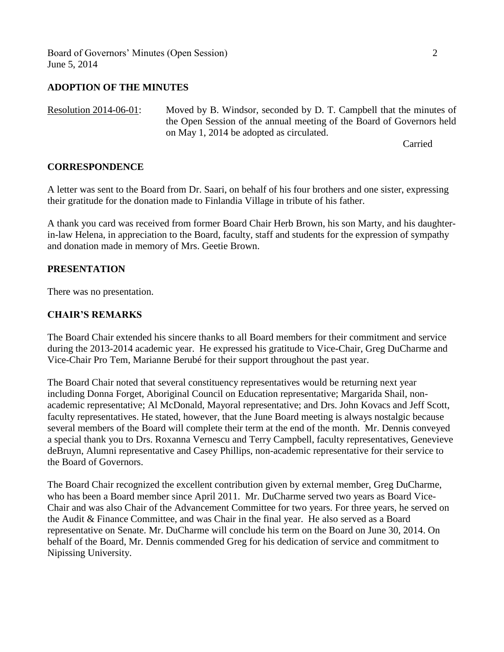Board of Governors' Minutes (Open Session) 2 June 5, 2014

## **ADOPTION OF THE MINUTES**

Resolution 2014-06-01: Moved by B. Windsor, seconded by D. T. Campbell that the minutes of the Open Session of the annual meeting of the Board of Governors held on May 1, 2014 be adopted as circulated.

Carried

### **CORRESPONDENCE**

A letter was sent to the Board from Dr. Saari, on behalf of his four brothers and one sister, expressing their gratitude for the donation made to Finlandia Village in tribute of his father.

A thank you card was received from former Board Chair Herb Brown, his son Marty, and his daughterin-law Helena, in appreciation to the Board, faculty, staff and students for the expression of sympathy and donation made in memory of Mrs. Geetie Brown.

## **PRESENTATION**

There was no presentation.

## **CHAIR'S REMARKS**

The Board Chair extended his sincere thanks to all Board members for their commitment and service during the 2013-2014 academic year. He expressed his gratitude to Vice-Chair, Greg DuCharme and Vice-Chair Pro Tem, Marianne Berubé for their support throughout the past year.

The Board Chair noted that several constituency representatives would be returning next year including Donna Forget, Aboriginal Council on Education representative; Margarida Shail, nonacademic representative; Al McDonald, Mayoral representative; and Drs. John Kovacs and Jeff Scott, faculty representatives. He stated, however, that the June Board meeting is always nostalgic because several members of the Board will complete their term at the end of the month. Mr. Dennis conveyed a special thank you to Drs. Roxanna Vernescu and Terry Campbell, faculty representatives, Genevieve deBruyn, Alumni representative and Casey Phillips, non-academic representative for their service to the Board of Governors.

The Board Chair recognized the excellent contribution given by external member, Greg DuCharme, who has been a Board member since April 2011. Mr. DuCharme served two years as Board Vice-Chair and was also Chair of the Advancement Committee for two years. For three years, he served on the Audit & Finance Committee, and was Chair in the final year. He also served as a Board representative on Senate. Mr. DuCharme will conclude his term on the Board on June 30, 2014. On behalf of the Board, Mr. Dennis commended Greg for his dedication of service and commitment to Nipissing University.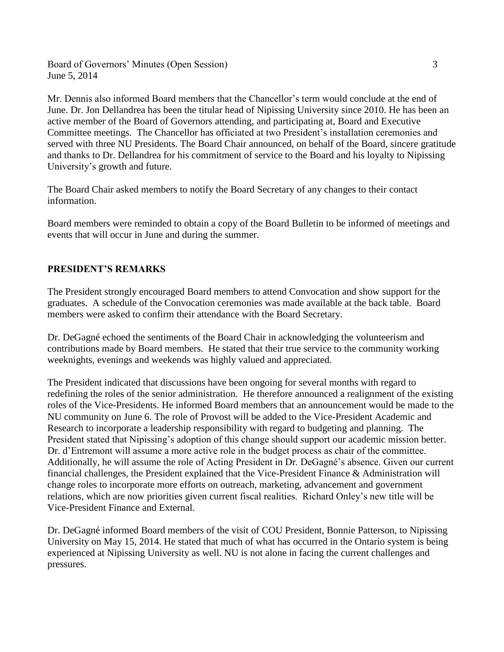Board of Governors' Minutes (Open Session) 3 June 5, 2014

Mr. Dennis also informed Board members that the Chancellor's term would conclude at the end of June. Dr. Jon Dellandrea has been the titular head of Nipissing University since 2010. He has been an active member of the Board of Governors attending, and participating at, Board and Executive Committee meetings. The Chancellor has officiated at two President's installation ceremonies and served with three NU Presidents. The Board Chair announced, on behalf of the Board, sincere gratitude and thanks to Dr. Dellandrea for his commitment of service to the Board and his loyalty to Nipissing University's growth and future.

The Board Chair asked members to notify the Board Secretary of any changes to their contact information.

Board members were reminded to obtain a copy of the Board Bulletin to be informed of meetings and events that will occur in June and during the summer.

# **PRESIDENT'S REMARKS**

The President strongly encouraged Board members to attend Convocation and show support for the graduates. A schedule of the Convocation ceremonies was made available at the back table. Board members were asked to confirm their attendance with the Board Secretary.

Dr. DeGagné echoed the sentiments of the Board Chair in acknowledging the volunteerism and contributions made by Board members. He stated that their true service to the community working weeknights, evenings and weekends was highly valued and appreciated.

The President indicated that discussions have been ongoing for several months with regard to redefining the roles of the senior administration. He therefore announced a realignment of the existing roles of the Vice-Presidents. He informed Board members that an announcement would be made to the NU community on June 6. The role of Provost will be added to the Vice-President Academic and Research to incorporate a leadership responsibility with regard to budgeting and planning. The President stated that Nipissing's adoption of this change should support our academic mission better. Dr. d'Entremont will assume a more active role in the budget process as chair of the committee. Additionally, he will assume the role of Acting President in Dr. DeGagné's absence. Given our current financial challenges, the President explained that the Vice-President Finance & Administration will change roles to incorporate more efforts on outreach, marketing, advancement and government relations, which are now priorities given current fiscal realities. Richard Onley's new title will be Vice-President Finance and External.

Dr. DeGagné informed Board members of the visit of COU President, Bonnie Patterson, to Nipissing University on May 15, 2014. He stated that much of what has occurred in the Ontario system is being experienced at Nipissing University as well. NU is not alone in facing the current challenges and pressures.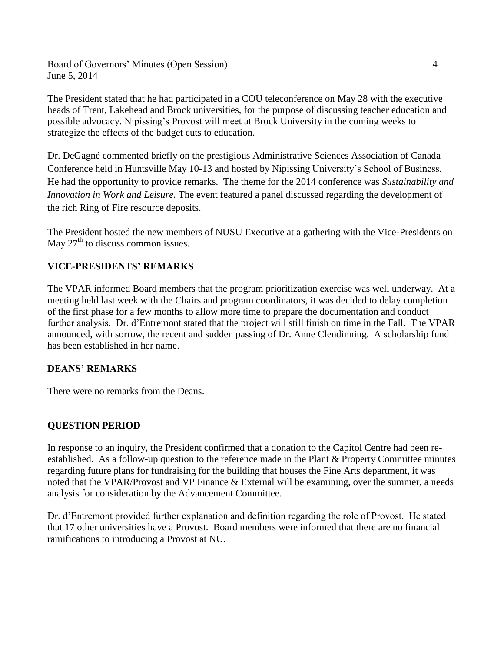Board of Governors' Minutes (Open Session) 4 June 5, 2014

The President stated that he had participated in a COU teleconference on May 28 with the executive heads of Trent, Lakehead and Brock universities, for the purpose of discussing teacher education and possible advocacy. Nipissing's Provost will meet at Brock University in the coming weeks to strategize the effects of the budget cuts to education.

Dr. DeGagné commented briefly on the prestigious Administrative Sciences Association of Canada Conference held in Huntsville May 10-13 and hosted by Nipissing University's School of Business. He had the opportunity to provide remarks. The theme for the 2014 conference was *Sustainability and Innovation in Work and Leisure.* The event featured a panel discussed regarding the development of the rich Ring of Fire resource deposits.

The President hosted the new members of NUSU Executive at a gathering with the Vice-Presidents on May  $27<sup>th</sup>$  to discuss common issues.

# **VICE-PRESIDENTS' REMARKS**

The VPAR informed Board members that the program prioritization exercise was well underway. At a meeting held last week with the Chairs and program coordinators, it was decided to delay completion of the first phase for a few months to allow more time to prepare the documentation and conduct further analysis. Dr. d'Entremont stated that the project will still finish on time in the Fall. The VPAR announced, with sorrow, the recent and sudden passing of Dr. Anne Clendinning. A scholarship fund has been established in her name.

# **DEANS' REMARKS**

There were no remarks from the Deans.

# **QUESTION PERIOD**

In response to an inquiry, the President confirmed that a donation to the Capitol Centre had been reestablished. As a follow-up question to the reference made in the Plant & Property Committee minutes regarding future plans for fundraising for the building that houses the Fine Arts department, it was noted that the VPAR/Provost and VP Finance & External will be examining, over the summer, a needs analysis for consideration by the Advancement Committee.

Dr. d'Entremont provided further explanation and definition regarding the role of Provost. He stated that 17 other universities have a Provost. Board members were informed that there are no financial ramifications to introducing a Provost at NU.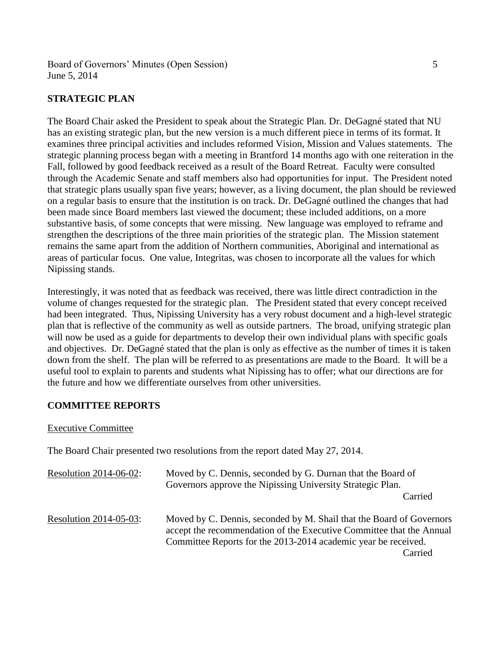Board of Governors' Minutes (Open Session) 5 June 5, 2014

## **STRATEGIC PLAN**

The Board Chair asked the President to speak about the Strategic Plan. Dr. DeGagné stated that NU has an existing strategic plan, but the new version is a much different piece in terms of its format. It examines three principal activities and includes reformed Vision, Mission and Values statements. The strategic planning process began with a meeting in Brantford 14 months ago with one reiteration in the Fall, followed by good feedback received as a result of the Board Retreat. Faculty were consulted through the Academic Senate and staff members also had opportunities for input. The President noted that strategic plans usually span five years; however, as a living document, the plan should be reviewed on a regular basis to ensure that the institution is on track. Dr. DeGagné outlined the changes that had been made since Board members last viewed the document; these included additions, on a more substantive basis, of some concepts that were missing. New language was employed to reframe and strengthen the descriptions of the three main priorities of the strategic plan. The Mission statement remains the same apart from the addition of Northern communities, Aboriginal and international as areas of particular focus. One value, Integritas, was chosen to incorporate all the values for which Nipissing stands.

Interestingly, it was noted that as feedback was received, there was little direct contradiction in the volume of changes requested for the strategic plan. The President stated that every concept received had been integrated. Thus, Nipissing University has a very robust document and a high-level strategic plan that is reflective of the community as well as outside partners. The broad, unifying strategic plan will now be used as a guide for departments to develop their own individual plans with specific goals and objectives. Dr. DeGagné stated that the plan is only as effective as the number of times it is taken down from the shelf. The plan will be referred to as presentations are made to the Board. It will be a useful tool to explain to parents and students what Nipissing has to offer; what our directions are for the future and how we differentiate ourselves from other universities.

## **COMMITTEE REPORTS**

#### Executive Committee

The Board Chair presented two resolutions from the report dated May 27, 2014.

| <b>Resolution 2014-06-02:</b> | Moved by C. Dennis, seconded by G. Durnan that the Board of<br>Governors approve the Nipissing University Strategic Plan.                                                                                                 |
|-------------------------------|---------------------------------------------------------------------------------------------------------------------------------------------------------------------------------------------------------------------------|
|                               | Carried                                                                                                                                                                                                                   |
| Resolution 2014-05-03:        | Moved by C. Dennis, seconded by M. Shail that the Board of Governors<br>accept the recommendation of the Executive Committee that the Annual<br>Committee Reports for the 2013-2014 academic year be received.<br>Carried |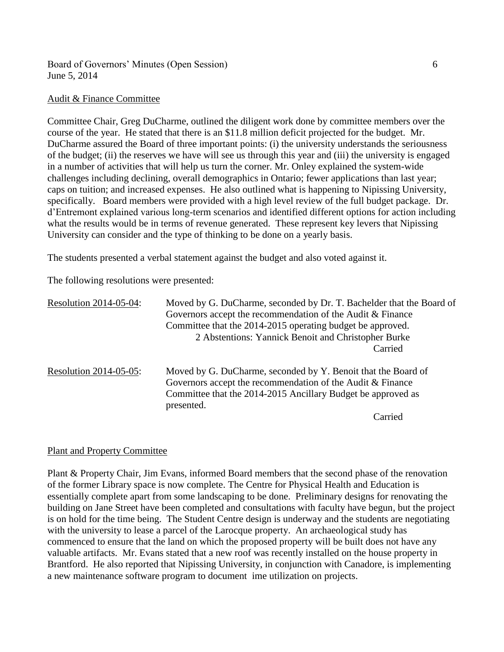## Board of Governors' Minutes (Open Session) 6 June 5, 2014

#### Audit & Finance Committee

Committee Chair, Greg DuCharme, outlined the diligent work done by committee members over the course of the year. He stated that there is an \$11.8 million deficit projected for the budget. Mr. DuCharme assured the Board of three important points: (i) the university understands the seriousness of the budget; (ii) the reserves we have will see us through this year and (iii) the university is engaged in a number of activities that will help us turn the corner. Mr. Onley explained the system-wide challenges including declining, overall demographics in Ontario; fewer applications than last year; caps on tuition; and increased expenses. He also outlined what is happening to Nipissing University, specifically. Board members were provided with a high level review of the full budget package. Dr. d'Entremont explained various long-term scenarios and identified different options for action including what the results would be in terms of revenue generated. These represent key levers that Nipissing University can consider and the type of thinking to be done on a yearly basis.

The students presented a verbal statement against the budget and also voted against it.

The following resolutions were presented:

| Resolution 2014-05-04: | Moved by G. DuCharme, seconded by Dr. T. Bachelder that the Board of |
|------------------------|----------------------------------------------------------------------|
|                        | Governors accept the recommendation of the Audit & Finance           |
|                        | Committee that the 2014-2015 operating budget be approved.           |
|                        | 2 Abstentions: Yannick Benoit and Christopher Burke                  |
|                        | Carried                                                              |
| Resolution 2014-05-05: | Moved by G. DuCharme, seconded by Y. Benoit that the Board of        |
|                        | Governors accept the recommendation of the Audit & Finance           |
|                        | Committee that the 2014-2015 Ancillary Budget be approved as         |
|                        | presented.                                                           |
|                        | Conmod                                                               |

Carried

## Plant and Property Committee

Plant & Property Chair, Jim Evans, informed Board members that the second phase of the renovation of the former Library space is now complete. The Centre for Physical Health and Education is essentially complete apart from some landscaping to be done. Preliminary designs for renovating the building on Jane Street have been completed and consultations with faculty have begun, but the project is on hold for the time being. The Student Centre design is underway and the students are negotiating with the university to lease a parcel of the Larocque property. An archaeological study has commenced to ensure that the land on which the proposed property will be built does not have any valuable artifacts. Mr. Evans stated that a new roof was recently installed on the house property in Brantford. He also reported that Nipissing University, in conjunction with Canadore, is implementing a new maintenance software program to document ime utilization on projects.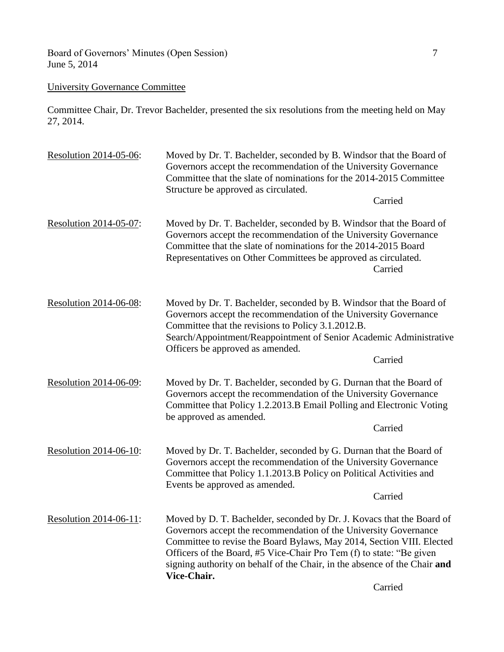Board of Governors' Minutes (Open Session) 7 June 5, 2014

# University Governance Committee

Committee Chair, Dr. Trevor Bachelder, presented the six resolutions from the meeting held on May 27, 2014.

| Resolution 2014-05-06:    | Moved by Dr. T. Bachelder, seconded by B. Windsor that the Board of<br>Governors accept the recommendation of the University Governance<br>Committee that the slate of nominations for the 2014-2015 Committee<br>Structure be approved as circulated.                                                                                                                                 |
|---------------------------|----------------------------------------------------------------------------------------------------------------------------------------------------------------------------------------------------------------------------------------------------------------------------------------------------------------------------------------------------------------------------------------|
|                           | Carried                                                                                                                                                                                                                                                                                                                                                                                |
| Resolution 2014-05-07:    | Moved by Dr. T. Bachelder, seconded by B. Windsor that the Board of<br>Governors accept the recommendation of the University Governance<br>Committee that the slate of nominations for the 2014-2015 Board<br>Representatives on Other Committees be approved as circulated.<br>Carried                                                                                                |
| Resolution 2014-06-08:    | Moved by Dr. T. Bachelder, seconded by B. Windsor that the Board of<br>Governors accept the recommendation of the University Governance<br>Committee that the revisions to Policy 3.1.2012.B.<br>Search/Appointment/Reappointment of Senior Academic Administrative<br>Officers be approved as amended.<br>Carried                                                                     |
| Resolution 2014-06-09:    | Moved by Dr. T. Bachelder, seconded by G. Durnan that the Board of<br>Governors accept the recommendation of the University Governance<br>Committee that Policy 1.2.2013.B Email Polling and Electronic Voting<br>be approved as amended.<br>Carried                                                                                                                                   |
| Resolution 2014-06-10:    | Moved by Dr. T. Bachelder, seconded by G. Durnan that the Board of<br>Governors accept the recommendation of the University Governance<br>Committee that Policy 1.1.2013.B Policy on Political Activities and<br>Events be approved as amended.<br>Carried                                                                                                                             |
| Resolution $2014-06-11$ : | Moved by D. T. Bachelder, seconded by Dr. J. Kovacs that the Board of<br>Governors accept the recommendation of the University Governance<br>Committee to revise the Board Bylaws, May 2014, Section VIII. Elected<br>Officers of the Board, #5 Vice-Chair Pro Tem (f) to state: "Be given<br>signing authority on behalf of the Chair, in the absence of the Chair and<br>Vice-Chair. |

Carried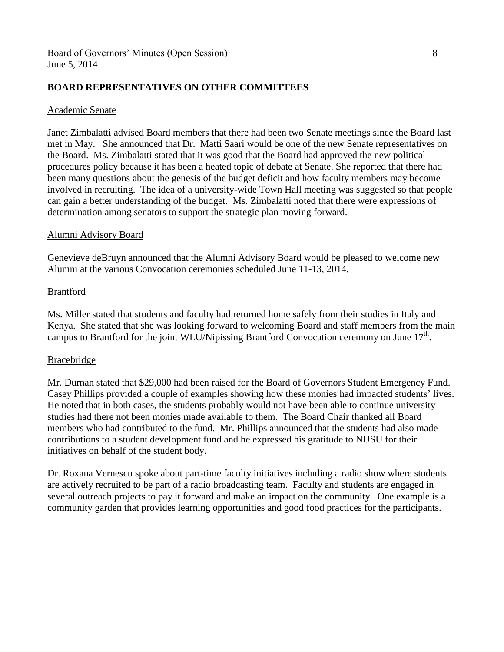## **BOARD REPRESENTATIVES ON OTHER COMMITTEES**

#### Academic Senate

Janet Zimbalatti advised Board members that there had been two Senate meetings since the Board last met in May. She announced that Dr. Matti Saari would be one of the new Senate representatives on the Board. Ms. Zimbalatti stated that it was good that the Board had approved the new political procedures policy because it has been a heated topic of debate at Senate. She reported that there had been many questions about the genesis of the budget deficit and how faculty members may become involved in recruiting. The idea of a university-wide Town Hall meeting was suggested so that people can gain a better understanding of the budget. Ms. Zimbalatti noted that there were expressions of determination among senators to support the strategic plan moving forward.

### Alumni Advisory Board

Genevieve deBruyn announced that the Alumni Advisory Board would be pleased to welcome new Alumni at the various Convocation ceremonies scheduled June 11-13, 2014.

### Brantford

Ms. Miller stated that students and faculty had returned home safely from their studies in Italy and Kenya. She stated that she was looking forward to welcoming Board and staff members from the main campus to Brantford for the joint WLU/Nipissing Brantford Convocation ceremony on June  $17<sup>th</sup>$ .

## Bracebridge

Mr. Durnan stated that \$29,000 had been raised for the Board of Governors Student Emergency Fund. Casey Phillips provided a couple of examples showing how these monies had impacted students' lives. He noted that in both cases, the students probably would not have been able to continue university studies had there not been monies made available to them. The Board Chair thanked all Board members who had contributed to the fund. Mr. Phillips announced that the students had also made contributions to a student development fund and he expressed his gratitude to NUSU for their initiatives on behalf of the student body.

Dr. Roxana Vernescu spoke about part-time faculty initiatives including a radio show where students are actively recruited to be part of a radio broadcasting team. Faculty and students are engaged in several outreach projects to pay it forward and make an impact on the community. One example is a community garden that provides learning opportunities and good food practices for the participants.